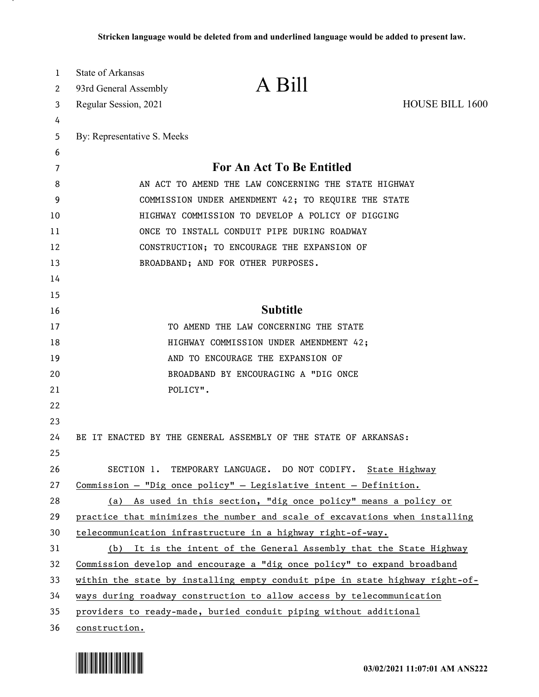| 1  | State of Arkansas                                    |                                                                              |                        |
|----|------------------------------------------------------|------------------------------------------------------------------------------|------------------------|
| 2  | 93rd General Assembly                                | A Bill                                                                       |                        |
| 3  | Regular Session, 2021                                |                                                                              | <b>HOUSE BILL 1600</b> |
| 4  |                                                      |                                                                              |                        |
| 5  | By: Representative S. Meeks                          |                                                                              |                        |
| 6  |                                                      |                                                                              |                        |
| 7  |                                                      | For An Act To Be Entitled                                                    |                        |
| 8  | AN ACT TO AMEND THE LAW CONCERNING THE STATE HIGHWAY |                                                                              |                        |
| 9  | COMMISSION UNDER AMENDMENT 42; TO REQUIRE THE STATE  |                                                                              |                        |
| 10 | HIGHWAY COMMISSION TO DEVELOP A POLICY OF DIGGING    |                                                                              |                        |
| 11 |                                                      | ONCE TO INSTALL CONDUIT PIPE DURING ROADWAY                                  |                        |
| 12 |                                                      | CONSTRUCTION; TO ENCOURAGE THE EXPANSION OF                                  |                        |
| 13 |                                                      | BROADBAND; AND FOR OTHER PURPOSES.                                           |                        |
| 14 |                                                      |                                                                              |                        |
| 15 |                                                      |                                                                              |                        |
| 16 |                                                      | <b>Subtitle</b>                                                              |                        |
| 17 |                                                      | TO AMEND THE LAW CONCERNING THE STATE                                        |                        |
| 18 |                                                      | HIGHWAY COMMISSION UNDER AMENDMENT 42;                                       |                        |
| 19 |                                                      | AND TO ENCOURAGE THE EXPANSION OF                                            |                        |
| 20 |                                                      | BROADBAND BY ENCOURAGING A "DIG ONCE                                         |                        |
| 21 |                                                      | POLICY".                                                                     |                        |
| 22 |                                                      |                                                                              |                        |
| 23 |                                                      |                                                                              |                        |
| 24 |                                                      | BE IT ENACTED BY THE GENERAL ASSEMBLY OF THE STATE OF ARKANSAS:              |                        |
| 25 |                                                      |                                                                              |                        |
| 26 |                                                      | SECTION 1. TEMPORARY LANGUAGE. DO NOT CODIFY. State Highway                  |                        |
| 27 |                                                      | Commission - "Dig once policy" - Legislative intent - Definition.            |                        |
| 28 |                                                      | (a) As used in this section, "dig once policy" means a policy or             |                        |
| 29 |                                                      | practice that minimizes the number and scale of excavations when installing  |                        |
| 30 |                                                      | telecommunication infrastructure in a highway right-of-way.                  |                        |
| 31 |                                                      | (b) It is the intent of the General Assembly that the State Highway          |                        |
| 32 |                                                      | Commission develop and encourage a "dig once policy" to expand broadband     |                        |
| 33 |                                                      | within the state by installing empty conduit pipe in state highway right-of- |                        |
| 34 |                                                      | ways during roadway construction to allow access by telecommunication        |                        |
| 35 |                                                      | providers to ready-made, buried conduit piping without additional            |                        |
| 36 | construction.                                        |                                                                              |                        |